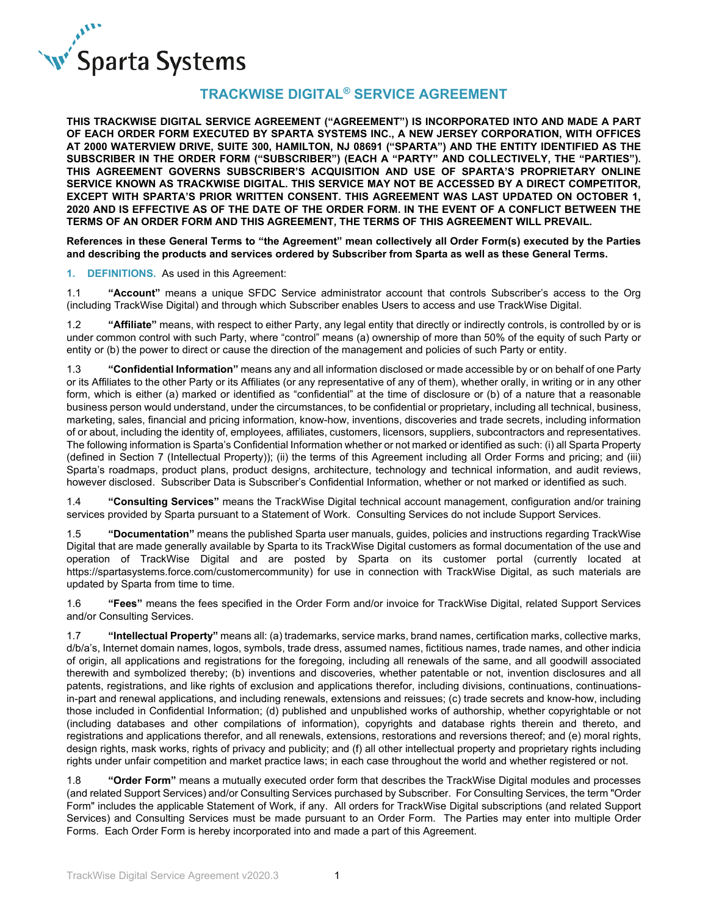

# **TRACKWISE DIGITAL® SERVICE AGREEMENT**

**THIS TRACKWISE DIGITAL SERVICE AGREEMENT ("AGREEMENT") IS INCORPORATED INTO AND MADE A PART OF EACH ORDER FORM EXECUTED BY SPARTA SYSTEMS INC., A NEW JERSEY CORPORATION, WITH OFFICES AT 2000 WATERVIEW DRIVE, SUITE 300, HAMILTON, NJ 08691 ("SPARTA") AND THE ENTITY IDENTIFIED AS THE SUBSCRIBER IN THE ORDER FORM ("SUBSCRIBER") (EACH A "PARTY" AND COLLECTIVELY, THE "PARTIES"). THIS AGREEMENT GOVERNS SUBSCRIBER'S ACQUISITION AND USE OF SPARTA'S PROPRIETARY ONLINE SERVICE KNOWN AS TRACKWISE DIGITAL. THIS SERVICE MAY NOT BE ACCESSED BY A DIRECT COMPETITOR, EXCEPT WITH SPARTA'S PRIOR WRITTEN CONSENT. THIS AGREEMENT WAS LAST UPDATED ON OCTOBER 1, 2020 AND IS EFFECTIVE AS OF THE DATE OF THE ORDER FORM. IN THE EVENT OF A CONFLICT BETWEEN THE TERMS OF AN ORDER FORM AND THIS AGREEMENT, THE TERMS OF THIS AGREEMENT WILL PREVAIL.**

**References in these General Terms to "the Agreement" mean collectively all Order Form(s) executed by the Parties and describing the products and services ordered by Subscriber from Sparta as well as these General Terms.**

**1. DEFINITIONS.** As used in this Agreement:

1.1 **"Account"** means a unique SFDC Service administrator account that controls Subscriber's access to the Org (including TrackWise Digital) and through which Subscriber enables Users to access and use TrackWise Digital.

1.2 **"Affiliate"** means, with respect to either Party, any legal entity that directly or indirectly controls, is controlled by or is under common control with such Party, where "control" means (a) ownership of more than 50% of the equity of such Party or entity or (b) the power to direct or cause the direction of the management and policies of such Party or entity.

1.3 **"Confidential Information"** means any and all information disclosed or made accessible by or on behalf of one Party or its Affiliates to the other Party or its Affiliates (or any representative of any of them), whether orally, in writing or in any other form, which is either (a) marked or identified as "confidential" at the time of disclosure or (b) of a nature that a reasonable business person would understand, under the circumstances, to be confidential or proprietary, including all technical, business, marketing, sales, financial and pricing information, know-how, inventions, discoveries and trade secrets, including information of or about, including the identity of, employees, affiliates, customers, licensors, suppliers, subcontractors and representatives. The following information is Sparta's Confidential Information whether or not marked or identified as such: (i) all Sparta Property (defined in Section 7 (Intellectual Property)); (ii) the terms of this Agreement including all Order Forms and pricing; and (iii) Sparta's roadmaps, product plans, product designs, architecture, technology and technical information, and audit reviews, however disclosed. Subscriber Data is Subscriber's Confidential Information, whether or not marked or identified as such.

1.4 **"Consulting Services"** means the TrackWise Digital technical account management, configuration and/or training services provided by Sparta pursuant to a Statement of Work. Consulting Services do not include Support Services.

1.5 **"Documentation"** means the published Sparta user manuals, guides, policies and instructions regarding TrackWise Digital that are made generally available by Sparta to its TrackWise Digital customers as formal documentation of the use and operation of TrackWise Digital and are posted by Sparta on its customer portal (currently located at https://spartasystems.force.com/customercommunity) for use in connection with TrackWise Digital, as such materials are updated by Sparta from time to time.

1.6 **"Fees"** means the fees specified in the Order Form and/or invoice for TrackWise Digital, related Support Services and/or Consulting Services.

1.7 **"Intellectual Property"** means all: (a) trademarks, service marks, brand names, certification marks, collective marks, d/b/a's, Internet domain names, logos, symbols, trade dress, assumed names, fictitious names, trade names, and other indicia of origin, all applications and registrations for the foregoing, including all renewals of the same, and all goodwill associated therewith and symbolized thereby; (b) inventions and discoveries, whether patentable or not, invention disclosures and all patents, registrations, and like rights of exclusion and applications therefor, including divisions, continuations, continuationsin-part and renewal applications, and including renewals, extensions and reissues; (c) trade secrets and know-how, including those included in Confidential Information; (d) published and unpublished works of authorship, whether copyrightable or not (including databases and other compilations of information), copyrights and database rights therein and thereto, and registrations and applications therefor, and all renewals, extensions, restorations and reversions thereof; and (e) moral rights, design rights, mask works, rights of privacy and publicity; and (f) all other intellectual property and proprietary rights including rights under unfair competition and market practice laws; in each case throughout the world and whether registered or not.

1.8 **"Order Form"** means a mutually executed order form that describes the TrackWise Digital modules and processes (and related Support Services) and/or Consulting Services purchased by Subscriber. For Consulting Services, the term "Order Form" includes the applicable Statement of Work, if any. All orders for TrackWise Digital subscriptions (and related Support Services) and Consulting Services must be made pursuant to an Order Form. The Parties may enter into multiple Order Forms. Each Order Form is hereby incorporated into and made a part of this Agreement.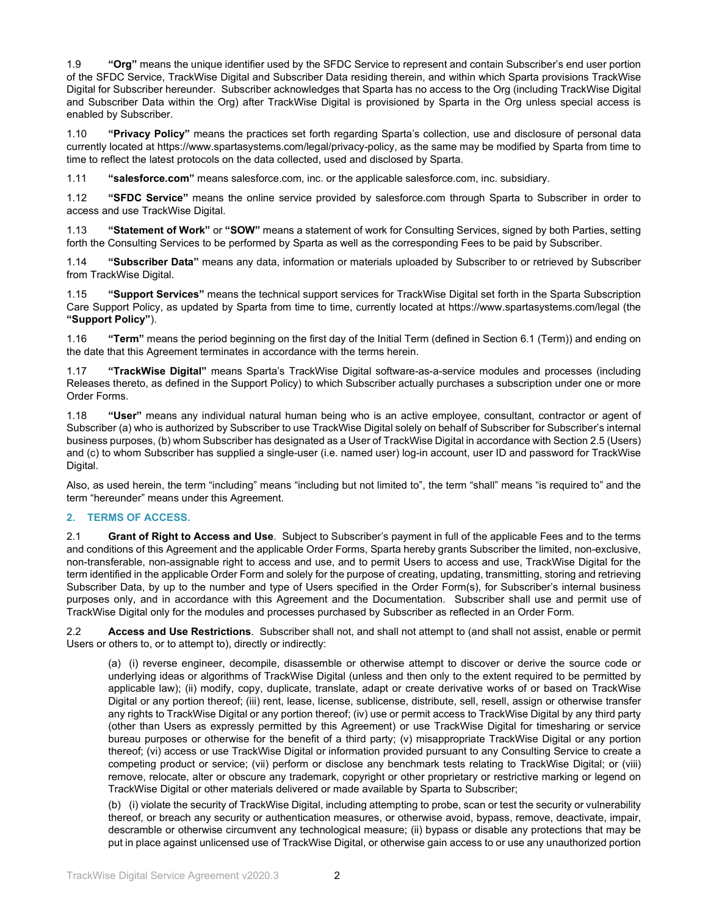1.9 **"Org"** means the unique identifier used by the SFDC Service to represent and contain Subscriber's end user portion of the SFDC Service, TrackWise Digital and Subscriber Data residing therein, and within which Sparta provisions TrackWise Digital for Subscriber hereunder. Subscriber acknowledges that Sparta has no access to the Org (including TrackWise Digital and Subscriber Data within the Org) after TrackWise Digital is provisioned by Sparta in the Org unless special access is enabled by Subscriber.

1.10 **"Privacy Policy"** means the practices set forth regarding Sparta's collection, use and disclosure of personal data currently located at https://www.spartasystems.com/legal/privacy-policy, as the same may be modified by Sparta from time to time to reflect the latest protocols on the data collected, used and disclosed by Sparta.

1.11 **"salesforce.com"** means salesforce.com, inc. or the applicable salesforce.com, inc. subsidiary.

1.12 **"SFDC Service"** means the online service provided by salesforce.com through Sparta to Subscriber in order to access and use TrackWise Digital.

1.13 **"Statement of Work"** or **"SOW"** means a statement of work for Consulting Services, signed by both Parties, setting forth the Consulting Services to be performed by Sparta as well as the corresponding Fees to be paid by Subscriber.

1.14 **"Subscriber Data"** means any data, information or materials uploaded by Subscriber to or retrieved by Subscriber from TrackWise Digital.

1.15 **"Support Services"** means the technical support services for TrackWise Digital set forth in the Sparta Subscription Care Support Policy, as updated by Sparta from time to time, currently located at https://www.spartasystems.com/legal (the **"Support Policy"**).

1.16 **"Term"** means the period beginning on the first day of the Initial Term (defined in Section 6.1 (Term)) and ending on the date that this Agreement terminates in accordance with the terms herein.

1.17 **"TrackWise Digital"** means Sparta's TrackWise Digital software-as-a-service modules and processes (including Releases thereto, as defined in the Support Policy) to which Subscriber actually purchases a subscription under one or more Order Forms.

1.18 **"User"** means any individual natural human being who is an active employee, consultant, contractor or agent of Subscriber (a) who is authorized by Subscriber to use TrackWise Digital solely on behalf of Subscriber for Subscriber's internal business purposes, (b) whom Subscriber has designated as a User of TrackWise Digital in accordance with Section 2.5 (Users) and (c) to whom Subscriber has supplied a single-user (i.e. named user) log-in account, user ID and password for TrackWise Digital.

Also, as used herein, the term "including" means "including but not limited to", the term "shall" means "is required to" and the term "hereunder" means under this Agreement.

## **2. TERMS OF ACCESS.**

2.1 **Grant of Right to Access and Use**. Subject to Subscriber's payment in full of the applicable Fees and to the terms and conditions of this Agreement and the applicable Order Forms, Sparta hereby grants Subscriber the limited, non-exclusive, non-transferable, non-assignable right to access and use, and to permit Users to access and use, TrackWise Digital for the term identified in the applicable Order Form and solely for the purpose of creating, updating, transmitting, storing and retrieving Subscriber Data, by up to the number and type of Users specified in the Order Form(s), for Subscriber's internal business purposes only, and in accordance with this Agreement and the Documentation. Subscriber shall use and permit use of TrackWise Digital only for the modules and processes purchased by Subscriber as reflected in an Order Form.

2.2 **Access and Use Restrictions**. Subscriber shall not, and shall not attempt to (and shall not assist, enable or permit Users or others to, or to attempt to), directly or indirectly:

(a) (i) reverse engineer, decompile, disassemble or otherwise attempt to discover or derive the source code or underlying ideas or algorithms of TrackWise Digital (unless and then only to the extent required to be permitted by applicable law); (ii) modify, copy, duplicate, translate, adapt or create derivative works of or based on TrackWise Digital or any portion thereof; (iii) rent, lease, license, sublicense, distribute, sell, resell, assign or otherwise transfer any rights to TrackWise Digital or any portion thereof; (iv) use or permit access to TrackWise Digital by any third party (other than Users as expressly permitted by this Agreement) or use TrackWise Digital for timesharing or service bureau purposes or otherwise for the benefit of a third party; (v) misappropriate TrackWise Digital or any portion thereof; (vi) access or use TrackWise Digital or information provided pursuant to any Consulting Service to create a competing product or service; (vii) perform or disclose any benchmark tests relating to TrackWise Digital; or (viii) remove, relocate, alter or obscure any trademark, copyright or other proprietary or restrictive marking or legend on TrackWise Digital or other materials delivered or made available by Sparta to Subscriber;

(b) (i) violate the security of TrackWise Digital, including attempting to probe, scan or test the security or vulnerability thereof, or breach any security or authentication measures, or otherwise avoid, bypass, remove, deactivate, impair, descramble or otherwise circumvent any technological measure; (ii) bypass or disable any protections that may be put in place against unlicensed use of TrackWise Digital, or otherwise gain access to or use any unauthorized portion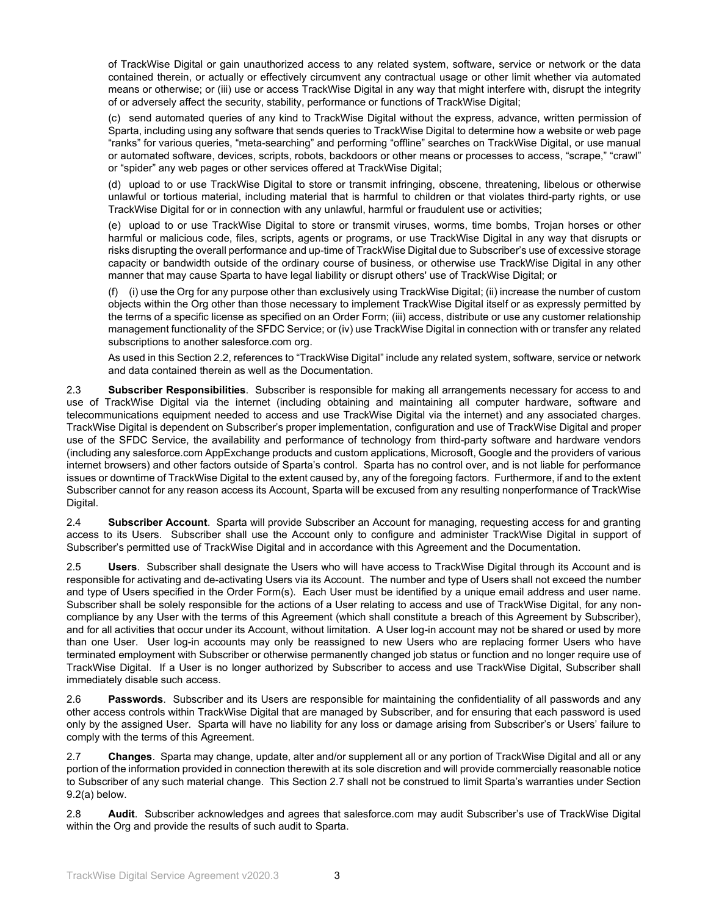of TrackWise Digital or gain unauthorized access to any related system, software, service or network or the data contained therein, or actually or effectively circumvent any contractual usage or other limit whether via automated means or otherwise; or (iii) use or access TrackWise Digital in any way that might interfere with, disrupt the integrity of or adversely affect the security, stability, performance or functions of TrackWise Digital;

(c) send automated queries of any kind to TrackWise Digital without the express, advance, written permission of Sparta, including using any software that sends queries to TrackWise Digital to determine how a website or web page "ranks" for various queries, "meta-searching" and performing "offline" searches on TrackWise Digital, or use manual or automated software, devices, scripts, robots, backdoors or other means or processes to access, "scrape," "crawl" or "spider" any web pages or other services offered at TrackWise Digital;

(d) upload to or use TrackWise Digital to store or transmit infringing, obscene, threatening, libelous or otherwise unlawful or tortious material, including material that is harmful to children or that violates third-party rights, or use TrackWise Digital for or in connection with any unlawful, harmful or fraudulent use or activities;

(e) upload to or use TrackWise Digital to store or transmit viruses, worms, time bombs, Trojan horses or other harmful or malicious code, files, scripts, agents or programs, or use TrackWise Digital in any way that disrupts or risks disrupting the overall performance and up-time of TrackWise Digital due to Subscriber's use of excessive storage capacity or bandwidth outside of the ordinary course of business, or otherwise use TrackWise Digital in any other manner that may cause Sparta to have legal liability or disrupt others' use of TrackWise Digital; or

(f) (i) use the Org for any purpose other than exclusively using TrackWise Digital; (ii) increase the number of custom objects within the Org other than those necessary to implement TrackWise Digital itself or as expressly permitted by the terms of a specific license as specified on an Order Form; (iii) access, distribute or use any customer relationship management functionality of the SFDC Service; or (iv) use TrackWise Digital in connection with or transfer any related subscriptions to another salesforce.com org.

As used in this Section 2.2, references to "TrackWise Digital" include any related system, software, service or network and data contained therein as well as the Documentation.

2.3 **Subscriber Responsibilities**. Subscriber is responsible for making all arrangements necessary for access to and use of TrackWise Digital via the internet (including obtaining and maintaining all computer hardware, software and telecommunications equipment needed to access and use TrackWise Digital via the internet) and any associated charges. TrackWise Digital is dependent on Subscriber's proper implementation, configuration and use of TrackWise Digital and proper use of the SFDC Service, the availability and performance of technology from third-party software and hardware vendors (including any salesforce.com AppExchange products and custom applications, Microsoft, Google and the providers of various internet browsers) and other factors outside of Sparta's control. Sparta has no control over, and is not liable for performance issues or downtime of TrackWise Digital to the extent caused by, any of the foregoing factors. Furthermore, if and to the extent Subscriber cannot for any reason access its Account, Sparta will be excused from any resulting nonperformance of TrackWise Digital.

2.4 **Subscriber Account**. Sparta will provide Subscriber an Account for managing, requesting access for and granting access to its Users. Subscriber shall use the Account only to configure and administer TrackWise Digital in support of Subscriber's permitted use of TrackWise Digital and in accordance with this Agreement and the Documentation.

2.5 **Users**. Subscriber shall designate the Users who will have access to TrackWise Digital through its Account and is responsible for activating and de-activating Users via its Account. The number and type of Users shall not exceed the number and type of Users specified in the Order Form(s). Each User must be identified by a unique email address and user name. Subscriber shall be solely responsible for the actions of a User relating to access and use of TrackWise Digital, for any noncompliance by any User with the terms of this Agreement (which shall constitute a breach of this Agreement by Subscriber), and for all activities that occur under its Account, without limitation. A User log-in account may not be shared or used by more than one User. User log-in accounts may only be reassigned to new Users who are replacing former Users who have terminated employment with Subscriber or otherwise permanently changed job status or function and no longer require use of TrackWise Digital. If a User is no longer authorized by Subscriber to access and use TrackWise Digital, Subscriber shall immediately disable such access.

2.6 **Passwords**. Subscriber and its Users are responsible for maintaining the confidentiality of all passwords and any other access controls within TrackWise Digital that are managed by Subscriber, and for ensuring that each password is used only by the assigned User. Sparta will have no liability for any loss or damage arising from Subscriber's or Users' failure to comply with the terms of this Agreement.

2.7 **Changes**. Sparta may change, update, alter and/or supplement all or any portion of TrackWise Digital and all or any portion of the information provided in connection therewith at its sole discretion and will provide commercially reasonable notice to Subscriber of any such material change. This Section 2.7 shall not be construed to limit Sparta's warranties under Section 9.2(a) below.

2.8 **Audit**. Subscriber acknowledges and agrees that salesforce.com may audit Subscriber's use of TrackWise Digital within the Org and provide the results of such audit to Sparta.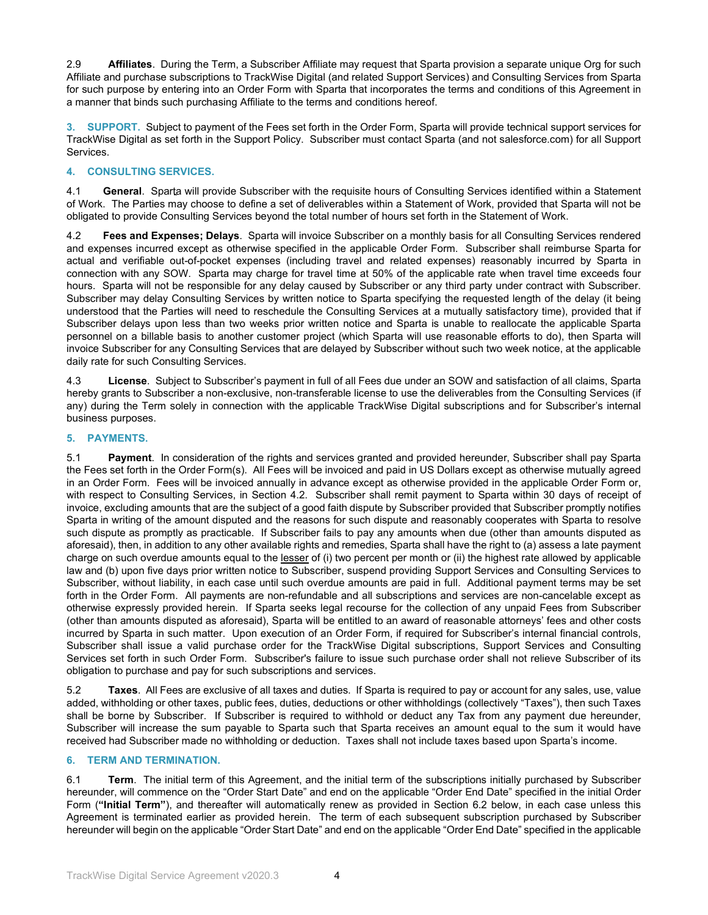2.9 **Affiliates**. During the Term, a Subscriber Affiliate may request that Sparta provision a separate unique Org for such Affiliate and purchase subscriptions to TrackWise Digital (and related Support Services) and Consulting Services from Sparta for such purpose by entering into an Order Form with Sparta that incorporates the terms and conditions of this Agreement in a manner that binds such purchasing Affiliate to the terms and conditions hereof.

**3. SUPPORT.** Subject to payment of the Fees set forth in the Order Form, Sparta will provide technical support services for TrackWise Digital as set forth in the Support Policy. Subscriber must contact Sparta (and not salesforce.com) for all Support Services.

## **4. CONSULTING SERVICES.**

4.1 **General**. Sparta will provide Subscriber with the requisite hours of Consulting Services identified within a Statement of Work. The Parties may choose to define a set of deliverables within a Statement of Work, provided that Sparta will not be obligated to provide Consulting Services beyond the total number of hours set forth in the Statement of Work.

4.2 **Fees and Expenses; Delays**. Sparta will invoice Subscriber on a monthly basis for all Consulting Services rendered and expenses incurred except as otherwise specified in the applicable Order Form. Subscriber shall reimburse Sparta for actual and verifiable out-of-pocket expenses (including travel and related expenses) reasonably incurred by Sparta in connection with any SOW. Sparta may charge for travel time at 50% of the applicable rate when travel time exceeds four hours. Sparta will not be responsible for any delay caused by Subscriber or any third party under contract with Subscriber. Subscriber may delay Consulting Services by written notice to Sparta specifying the requested length of the delay (it being understood that the Parties will need to reschedule the Consulting Services at a mutually satisfactory time), provided that if Subscriber delays upon less than two weeks prior written notice and Sparta is unable to reallocate the applicable Sparta personnel on a billable basis to another customer project (which Sparta will use reasonable efforts to do), then Sparta will invoice Subscriber for any Consulting Services that are delayed by Subscriber without such two week notice, at the applicable daily rate for such Consulting Services.

4.3 **License**. Subject to Subscriber's payment in full of all Fees due under an SOW and satisfaction of all claims, Sparta hereby grants to Subscriber a non-exclusive, non-transferable license to use the deliverables from the Consulting Services (if any) during the Term solely in connection with the applicable TrackWise Digital subscriptions and for Subscriber's internal business purposes.

# **5. PAYMENTS.**

5.1 **Payment**. In consideration of the rights and services granted and provided hereunder, Subscriber shall pay Sparta the Fees set forth in the Order Form(s). All Fees will be invoiced and paid in US Dollars except as otherwise mutually agreed in an Order Form. Fees will be invoiced annually in advance except as otherwise provided in the applicable Order Form or, with respect to Consulting Services, in Section 4.2. Subscriber shall remit payment to Sparta within 30 days of receipt of invoice, excluding amounts that are the subject of a good faith dispute by Subscriber provided that Subscriber promptly notifies Sparta in writing of the amount disputed and the reasons for such dispute and reasonably cooperates with Sparta to resolve such dispute as promptly as practicable. If Subscriber fails to pay any amounts when due (other than amounts disputed as aforesaid), then, in addition to any other available rights and remedies, Sparta shall have the right to (a) assess a late payment charge on such overdue amounts equal to the lesser of (i) two percent per month or (ii) the highest rate allowed by applicable law and (b) upon five days prior written notice to Subscriber, suspend providing Support Services and Consulting Services to Subscriber, without liability, in each case until such overdue amounts are paid in full. Additional payment terms may be set forth in the Order Form. All payments are non-refundable and all subscriptions and services are non-cancelable except as otherwise expressly provided herein. If Sparta seeks legal recourse for the collection of any unpaid Fees from Subscriber (other than amounts disputed as aforesaid), Sparta will be entitled to an award of reasonable attorneys' fees and other costs incurred by Sparta in such matter. Upon execution of an Order Form, if required for Subscriber's internal financial controls, Subscriber shall issue a valid purchase order for the TrackWise Digital subscriptions, Support Services and Consulting Services set forth in such Order Form. Subscriber's failure to issue such purchase order shall not relieve Subscriber of its obligation to purchase and pay for such subscriptions and services.

5.2 **Taxes**. All Fees are exclusive of all taxes and duties. If Sparta is required to pay or account for any sales, use, value added, withholding or other taxes, public fees, duties, deductions or other withholdings (collectively "Taxes"), then such Taxes shall be borne by Subscriber. If Subscriber is required to withhold or deduct any Tax from any payment due hereunder, Subscriber will increase the sum payable to Sparta such that Sparta receives an amount equal to the sum it would have received had Subscriber made no withholding or deduction. Taxes shall not include taxes based upon Sparta's income.

## **6. TERM AND TERMINATION.**

6.1 **Term**. The initial term of this Agreement, and the initial term of the subscriptions initially purchased by Subscriber hereunder, will commence on the "Order Start Date" and end on the applicable "Order End Date" specified in the initial Order Form (**"Initial Term"**), and thereafter will automatically renew as provided in Section 6.2 below, in each case unless this Agreement is terminated earlier as provided herein. The term of each subsequent subscription purchased by Subscriber hereunder will begin on the applicable "Order Start Date" and end on the applicable "Order End Date" specified in the applicable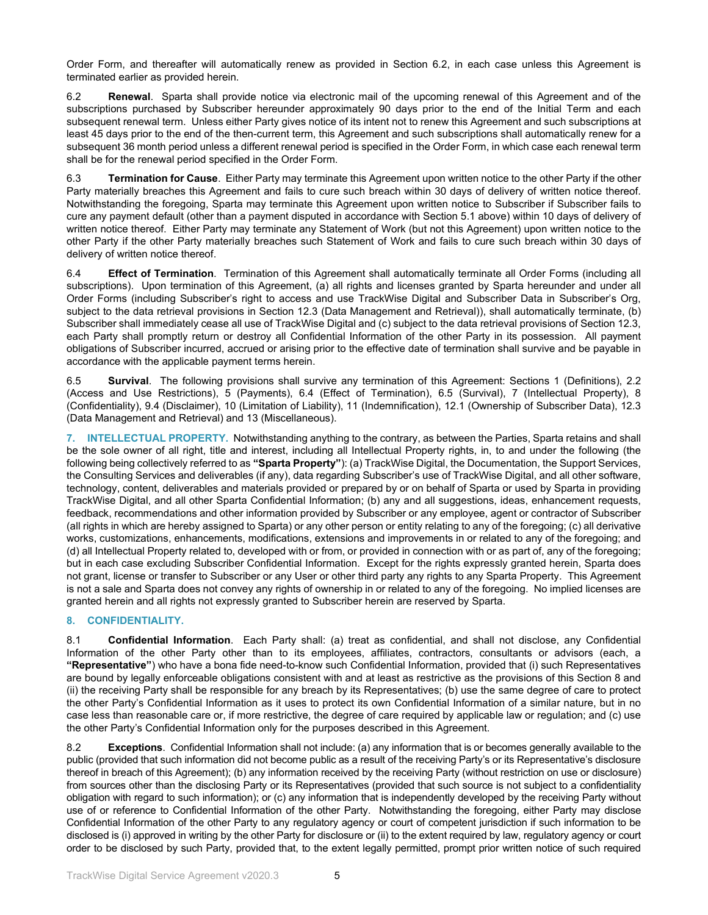Order Form, and thereafter will automatically renew as provided in Section 6.2, in each case unless this Agreement is terminated earlier as provided herein.

6.2 **Renewal**. Sparta shall provide notice via electronic mail of the upcoming renewal of this Agreement and of the subscriptions purchased by Subscriber hereunder approximately 90 days prior to the end of the Initial Term and each subsequent renewal term. Unless either Party gives notice of its intent not to renew this Agreement and such subscriptions at least 45 days prior to the end of the then-current term, this Agreement and such subscriptions shall automatically renew for a subsequent 36 month period unless a different renewal period is specified in the Order Form, in which case each renewal term shall be for the renewal period specified in the Order Form.

6.3 **Termination for Cause**. Either Party may terminate this Agreement upon written notice to the other Party if the other Party materially breaches this Agreement and fails to cure such breach within 30 days of delivery of written notice thereof. Notwithstanding the foregoing, Sparta may terminate this Agreement upon written notice to Subscriber if Subscriber fails to cure any payment default (other than a payment disputed in accordance with Section 5.1 above) within 10 days of delivery of written notice thereof. Either Party may terminate any Statement of Work (but not this Agreement) upon written notice to the other Party if the other Party materially breaches such Statement of Work and fails to cure such breach within 30 days of delivery of written notice thereof.

6.4 **Effect of Termination**. Termination of this Agreement shall automatically terminate all Order Forms (including all subscriptions). Upon termination of this Agreement, (a) all rights and licenses granted by Sparta hereunder and under all Order Forms (including Subscriber's right to access and use TrackWise Digital and Subscriber Data in Subscriber's Org, subject to the data retrieval provisions in Section 12.3 (Data Management and Retrieval)), shall automatically terminate, (b) Subscriber shall immediately cease all use of TrackWise Digital and (c) subject to the data retrieval provisions of Section 12.3, each Party shall promptly return or destroy all Confidential Information of the other Party in its possession. All payment obligations of Subscriber incurred, accrued or arising prior to the effective date of termination shall survive and be payable in accordance with the applicable payment terms herein.

6.5 **Survival**. The following provisions shall survive any termination of this Agreement: Sections 1 (Definitions), 2.2 (Access and Use Restrictions), 5 (Payments), 6.4 (Effect of Termination), 6.5 (Survival), 7 (Intellectual Property), 8 (Confidentiality), 9.4 (Disclaimer), 10 (Limitation of Liability), 11 (Indemnification), 12.1 (Ownership of Subscriber Data), 12.3 (Data Management and Retrieval) and 13 (Miscellaneous).

**7. INTELLECTUAL PROPERTY.** Notwithstanding anything to the contrary, as between the Parties, Sparta retains and shall be the sole owner of all right, title and interest, including all Intellectual Property rights, in, to and under the following (the following being collectively referred to as **"Sparta Property"**): (a) TrackWise Digital, the Documentation, the Support Services, the Consulting Services and deliverables (if any), data regarding Subscriber's use of TrackWise Digital, and all other software, technology, content, deliverables and materials provided or prepared by or on behalf of Sparta or used by Sparta in providing TrackWise Digital, and all other Sparta Confidential Information; (b) any and all suggestions, ideas, enhancement requests, feedback, recommendations and other information provided by Subscriber or any employee, agent or contractor of Subscriber (all rights in which are hereby assigned to Sparta) or any other person or entity relating to any of the foregoing; (c) all derivative works, customizations, enhancements, modifications, extensions and improvements in or related to any of the foregoing; and (d) all Intellectual Property related to, developed with or from, or provided in connection with or as part of, any of the foregoing; but in each case excluding Subscriber Confidential Information. Except for the rights expressly granted herein, Sparta does not grant, license or transfer to Subscriber or any User or other third party any rights to any Sparta Property. This Agreement is not a sale and Sparta does not convey any rights of ownership in or related to any of the foregoing. No implied licenses are granted herein and all rights not expressly granted to Subscriber herein are reserved by Sparta.

# **8. CONFIDENTIALITY.**

8.1 **Confidential Information**. Each Party shall: (a) treat as confidential, and shall not disclose, any Confidential Information of the other Party other than to its employees, affiliates, contractors, consultants or advisors (each, a **"Representative"**) who have a bona fide need-to-know such Confidential Information, provided that (i) such Representatives are bound by legally enforceable obligations consistent with and at least as restrictive as the provisions of this Section 8 and (ii) the receiving Party shall be responsible for any breach by its Representatives; (b) use the same degree of care to protect the other Party's Confidential Information as it uses to protect its own Confidential Information of a similar nature, but in no case less than reasonable care or, if more restrictive, the degree of care required by applicable law or regulation; and (c) use the other Party's Confidential Information only for the purposes described in this Agreement.

8.2 **Exceptions**. Confidential Information shall not include: (a) any information that is or becomes generally available to the public (provided that such information did not become public as a result of the receiving Party's or its Representative's disclosure thereof in breach of this Agreement); (b) any information received by the receiving Party (without restriction on use or disclosure) from sources other than the disclosing Party or its Representatives (provided that such source is not subject to a confidentiality obligation with regard to such information); or (c) any information that is independently developed by the receiving Party without use of or reference to Confidential Information of the other Party. Notwithstanding the foregoing, either Party may disclose Confidential Information of the other Party to any regulatory agency or court of competent jurisdiction if such information to be disclosed is (i) approved in writing by the other Party for disclosure or (ii) to the extent required by law, regulatory agency or court order to be disclosed by such Party, provided that, to the extent legally permitted, prompt prior written notice of such required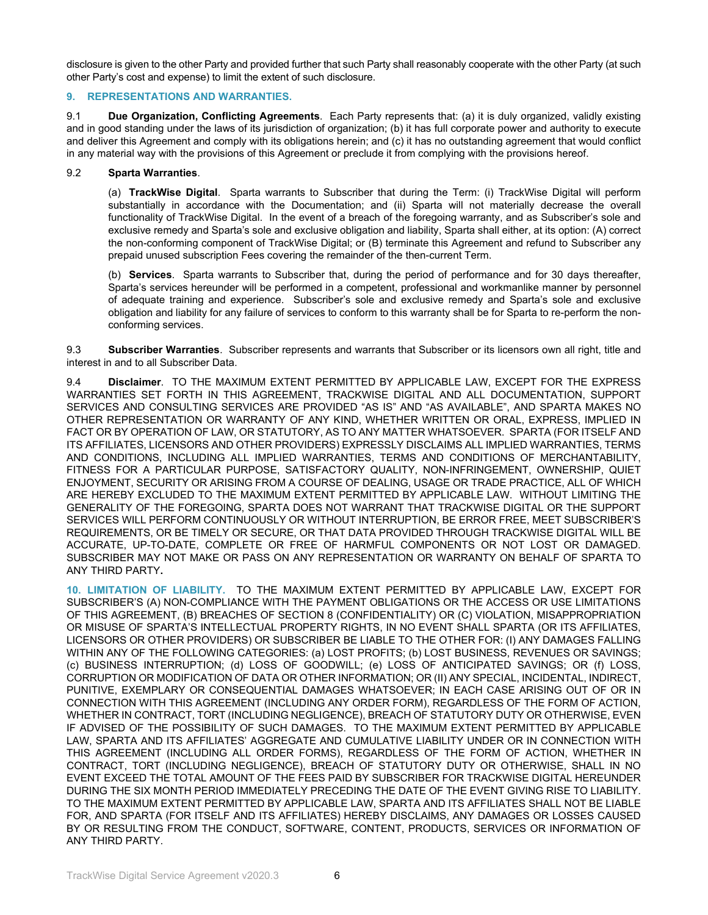disclosure is given to the other Party and provided further that such Party shall reasonably cooperate with the other Party (at such other Party's cost and expense) to limit the extent of such disclosure.

#### **9. REPRESENTATIONS AND WARRANTIES.**

9.1 **Due Organization, Conflicting Agreements**. Each Party represents that: (a) it is duly organized, validly existing and in good standing under the laws of its jurisdiction of organization; (b) it has full corporate power and authority to execute and deliver this Agreement and comply with its obligations herein; and (c) it has no outstanding agreement that would conflict in any material way with the provisions of this Agreement or preclude it from complying with the provisions hereof.

#### 9.2 **Sparta Warranties**.

(a) **TrackWise Digital**. Sparta warrants to Subscriber that during the Term: (i) TrackWise Digital will perform substantially in accordance with the Documentation; and (ii) Sparta will not materially decrease the overall functionality of TrackWise Digital. In the event of a breach of the foregoing warranty, and as Subscriber's sole and exclusive remedy and Sparta's sole and exclusive obligation and liability, Sparta shall either, at its option: (A) correct the non-conforming component of TrackWise Digital; or (B) terminate this Agreement and refund to Subscriber any prepaid unused subscription Fees covering the remainder of the then-current Term.

(b) **Services**. Sparta warrants to Subscriber that, during the period of performance and for 30 days thereafter, Sparta's services hereunder will be performed in a competent, professional and workmanlike manner by personnel of adequate training and experience. Subscriber's sole and exclusive remedy and Sparta's sole and exclusive obligation and liability for any failure of services to conform to this warranty shall be for Sparta to re-perform the nonconforming services.

9.3 **Subscriber Warranties**. Subscriber represents and warrants that Subscriber or its licensors own all right, title and interest in and to all Subscriber Data.

9.4 **Disclaimer**. TO THE MAXIMUM EXTENT PERMITTED BY APPLICABLE LAW, EXCEPT FOR THE EXPRESS WARRANTIES SET FORTH IN THIS AGREEMENT, TRACKWISE DIGITAL AND ALL DOCUMENTATION, SUPPORT SERVICES AND CONSULTING SERVICES ARE PROVIDED "AS IS" AND "AS AVAILABLE", AND SPARTA MAKES NO OTHER REPRESENTATION OR WARRANTY OF ANY KIND, WHETHER WRITTEN OR ORAL, EXPRESS, IMPLIED IN FACT OR BY OPERATION OF LAW, OR STATUTORY, AS TO ANY MATTER WHATSOEVER. SPARTA (FOR ITSELF AND ITS AFFILIATES, LICENSORS AND OTHER PROVIDERS) EXPRESSLY DISCLAIMS ALL IMPLIED WARRANTIES, TERMS AND CONDITIONS, INCLUDING ALL IMPLIED WARRANTIES, TERMS AND CONDITIONS OF MERCHANTABILITY, FITNESS FOR A PARTICULAR PURPOSE, SATISFACTORY QUALITY, NON-INFRINGEMENT, OWNERSHIP, QUIET ENJOYMENT, SECURITY OR ARISING FROM A COURSE OF DEALING, USAGE OR TRADE PRACTICE, ALL OF WHICH ARE HEREBY EXCLUDED TO THE MAXIMUM EXTENT PERMITTED BY APPLICABLE LAW. WITHOUT LIMITING THE GENERALITY OF THE FOREGOING, SPARTA DOES NOT WARRANT THAT TRACKWISE DIGITAL OR THE SUPPORT SERVICES WILL PERFORM CONTINUOUSLY OR WITHOUT INTERRUPTION, BE ERROR FREE, MEET SUBSCRIBER'S REQUIREMENTS, OR BE TIMELY OR SECURE, OR THAT DATA PROVIDED THROUGH TRACKWISE DIGITAL WILL BE ACCURATE, UP-TO-DATE, COMPLETE OR FREE OF HARMFUL COMPONENTS OR NOT LOST OR DAMAGED. SUBSCRIBER MAY NOT MAKE OR PASS ON ANY REPRESENTATION OR WARRANTY ON BEHALF OF SPARTA TO ANY THIRD PARTY**.**

**10. LIMITATION OF LIABILITY.** TO THE MAXIMUM EXTENT PERMITTED BY APPLICABLE LAW, EXCEPT FOR SUBSCRIBER'S (A) NON-COMPLIANCE WITH THE PAYMENT OBLIGATIONS OR THE ACCESS OR USE LIMITATIONS OF THIS AGREEMENT, (B) BREACHES OF SECTION 8 (CONFIDENTIALITY) OR (C) VIOLATION, MISAPPROPRIATION OR MISUSE OF SPARTA'S INTELLECTUAL PROPERTY RIGHTS, IN NO EVENT SHALL SPARTA (OR ITS AFFILIATES, LICENSORS OR OTHER PROVIDERS) OR SUBSCRIBER BE LIABLE TO THE OTHER FOR: (I) ANY DAMAGES FALLING WITHIN ANY OF THE FOLLOWING CATEGORIES: (a) LOST PROFITS; (b) LOST BUSINESS, REVENUES OR SAVINGS; (c) BUSINESS INTERRUPTION; (d) LOSS OF GOODWILL; (e) LOSS OF ANTICIPATED SAVINGS; OR (f) LOSS, CORRUPTION OR MODIFICATION OF DATA OR OTHER INFORMATION; OR (II) ANY SPECIAL, INCIDENTAL, INDIRECT, PUNITIVE, EXEMPLARY OR CONSEQUENTIAL DAMAGES WHATSOEVER; IN EACH CASE ARISING OUT OF OR IN CONNECTION WITH THIS AGREEMENT (INCLUDING ANY ORDER FORM), REGARDLESS OF THE FORM OF ACTION, WHETHER IN CONTRACT, TORT (INCLUDING NEGLIGENCE), BREACH OF STATUTORY DUTY OR OTHERWISE, EVEN IF ADVISED OF THE POSSIBILITY OF SUCH DAMAGES. TO THE MAXIMUM EXTENT PERMITTED BY APPLICABLE LAW, SPARTA AND ITS AFFILIATES' AGGREGATE AND CUMULATIVE LIABILITY UNDER OR IN CONNECTION WITH THIS AGREEMENT (INCLUDING ALL ORDER FORMS), REGARDLESS OF THE FORM OF ACTION, WHETHER IN CONTRACT, TORT (INCLUDING NEGLIGENCE), BREACH OF STATUTORY DUTY OR OTHERWISE, SHALL IN NO EVENT EXCEED THE TOTAL AMOUNT OF THE FEES PAID BY SUBSCRIBER FOR TRACKWISE DIGITAL HEREUNDER DURING THE SIX MONTH PERIOD IMMEDIATELY PRECEDING THE DATE OF THE EVENT GIVING RISE TO LIABILITY. TO THE MAXIMUM EXTENT PERMITTED BY APPLICABLE LAW, SPARTA AND ITS AFFILIATES SHALL NOT BE LIABLE FOR, AND SPARTA (FOR ITSELF AND ITS AFFILIATES) HEREBY DISCLAIMS, ANY DAMAGES OR LOSSES CAUSED BY OR RESULTING FROM THE CONDUCT, SOFTWARE, CONTENT, PRODUCTS, SERVICES OR INFORMATION OF ANY THIRD PARTY.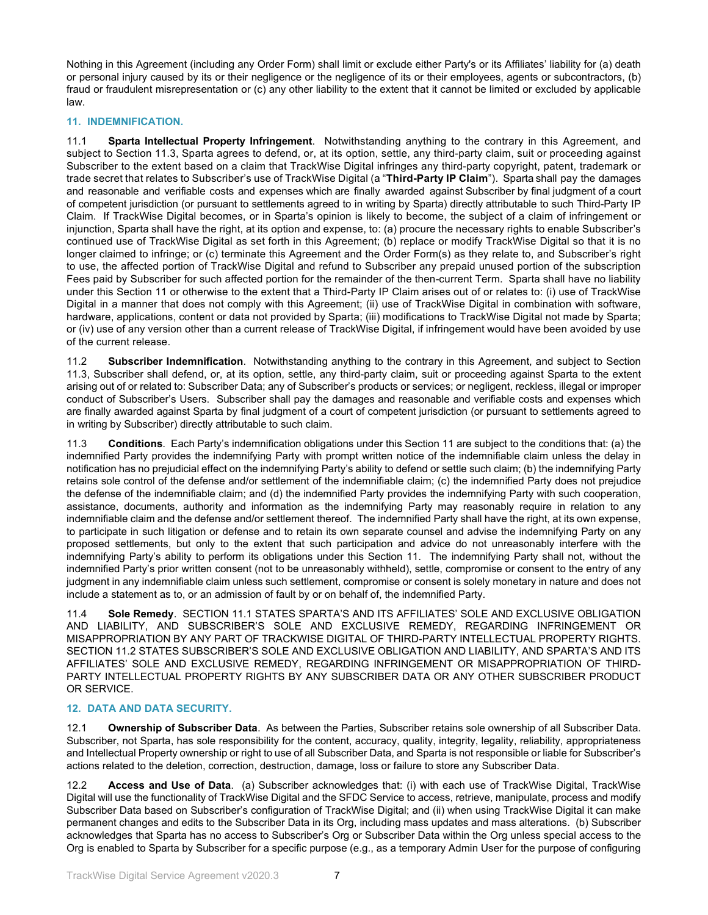Nothing in this Agreement (including any Order Form) shall limit or exclude either Party's or its Affiliates' liability for (a) death or personal injury caused by its or their negligence or the negligence of its or their employees, agents or subcontractors, (b) fraud or fraudulent misrepresentation or (c) any other liability to the extent that it cannot be limited or excluded by applicable law.

## **11. INDEMNIFICATION.**

11.1 **Sparta Intellectual Property Infringement**. Notwithstanding anything to the contrary in this Agreement, and subject to Section 11.3, Sparta agrees to defend, or, at its option, settle, any third-party claim, suit or proceeding against Subscriber to the extent based on a claim that TrackWise Digital infringes any third-party copyright, patent, trademark or trade secret that relates to Subscriber's use of TrackWise Digital (a "**Third-Party IP Claim**"). Sparta shall pay the damages and reasonable and verifiable costs and expenses which are finally awarded against Subscriber by final judgment of a court of competent jurisdiction (or pursuant to settlements agreed to in writing by Sparta) directly attributable to such Third-Party IP Claim. If TrackWise Digital becomes, or in Sparta's opinion is likely to become, the subject of a claim of infringement or injunction, Sparta shall have the right, at its option and expense, to: (a) procure the necessary rights to enable Subscriber's continued use of TrackWise Digital as set forth in this Agreement; (b) replace or modify TrackWise Digital so that it is no longer claimed to infringe; or (c) terminate this Agreement and the Order Form(s) as they relate to, and Subscriber's right to use, the affected portion of TrackWise Digital and refund to Subscriber any prepaid unused portion of the subscription Fees paid by Subscriber for such affected portion for the remainder of the then-current Term. Sparta shall have no liability under this Section 11 or otherwise to the extent that a Third-Party IP Claim arises out of or relates to: (i) use of TrackWise Digital in a manner that does not comply with this Agreement; (ii) use of TrackWise Digital in combination with software, hardware, applications, content or data not provided by Sparta; (iii) modifications to TrackWise Digital not made by Sparta; or (iv) use of any version other than a current release of TrackWise Digital, if infringement would have been avoided by use of the current release.

11.2 **Subscriber Indemnification**. Notwithstanding anything to the contrary in this Agreement, and subject to Section 11.3, Subscriber shall defend, or, at its option, settle, any third-party claim, suit or proceeding against Sparta to the extent arising out of or related to: Subscriber Data; any of Subscriber's products or services; or negligent, reckless, illegal or improper conduct of Subscriber's Users. Subscriber shall pay the damages and reasonable and verifiable costs and expenses which are finally awarded against Sparta by final judgment of a court of competent jurisdiction (or pursuant to settlements agreed to in writing by Subscriber) directly attributable to such claim.

11.3 **Conditions**. Each Party's indemnification obligations under this Section 11 are subject to the conditions that: (a) the indemnified Party provides the indemnifying Party with prompt written notice of the indemnifiable claim unless the delay in notification has no prejudicial effect on the indemnifying Party's ability to defend or settle such claim; (b) the indemnifying Party retains sole control of the defense and/or settlement of the indemnifiable claim; (c) the indemnified Party does not prejudice the defense of the indemnifiable claim; and (d) the indemnified Party provides the indemnifying Party with such cooperation, assistance, documents, authority and information as the indemnifying Party may reasonably require in relation to any indemnifiable claim and the defense and/or settlement thereof. The indemnified Party shall have the right, at its own expense, to participate in such litigation or defense and to retain its own separate counsel and advise the indemnifying Party on any proposed settlements, but only to the extent that such participation and advice do not unreasonably interfere with the indemnifying Party's ability to perform its obligations under this Section 11. The indemnifying Party shall not, without the indemnified Party's prior written consent (not to be unreasonably withheld), settle, compromise or consent to the entry of any judgment in any indemnifiable claim unless such settlement, compromise or consent is solely monetary in nature and does not include a statement as to, or an admission of fault by or on behalf of, the indemnified Party.

11.4 **Sole Remedy**. SECTION 11.1 STATES SPARTA'S AND ITS AFFILIATES' SOLE AND EXCLUSIVE OBLIGATION AND LIABILITY, AND SUBSCRIBER'S SOLE AND EXCLUSIVE REMEDY, REGARDING INFRINGEMENT OR MISAPPROPRIATION BY ANY PART OF TRACKWISE DIGITAL OF THIRD-PARTY INTELLECTUAL PROPERTY RIGHTS. SECTION 11.2 STATES SUBSCRIBER'S SOLE AND EXCLUSIVE OBLIGATION AND LIABILITY, AND SPARTA'S AND ITS AFFILIATES' SOLE AND EXCLUSIVE REMEDY, REGARDING INFRINGEMENT OR MISAPPROPRIATION OF THIRD-PARTY INTELLECTUAL PROPERTY RIGHTS BY ANY SUBSCRIBER DATA OR ANY OTHER SUBSCRIBER PRODUCT OR SERVICE.

## **12. DATA AND DATA SECURITY.**

12.1 **Ownership of Subscriber Data**. As between the Parties, Subscriber retains sole ownership of all Subscriber Data. Subscriber, not Sparta, has sole responsibility for the content, accuracy, quality, integrity, legality, reliability, appropriateness and Intellectual Property ownership or right to use of all Subscriber Data, and Sparta is not responsible or liable for Subscriber's actions related to the deletion, correction, destruction, damage, loss or failure to store any Subscriber Data.

12.2 **Access and Use of Data**. (a) Subscriber acknowledges that: (i) with each use of TrackWise Digital, TrackWise Digital will use the functionality of TrackWise Digital and the SFDC Service to access, retrieve, manipulate, process and modify Subscriber Data based on Subscriber's configuration of TrackWise Digital; and (ii) when using TrackWise Digital it can make permanent changes and edits to the Subscriber Data in its Org, including mass updates and mass alterations. (b) Subscriber acknowledges that Sparta has no access to Subscriber's Org or Subscriber Data within the Org unless special access to the Org is enabled to Sparta by Subscriber for a specific purpose (e.g., as a temporary Admin User for the purpose of configuring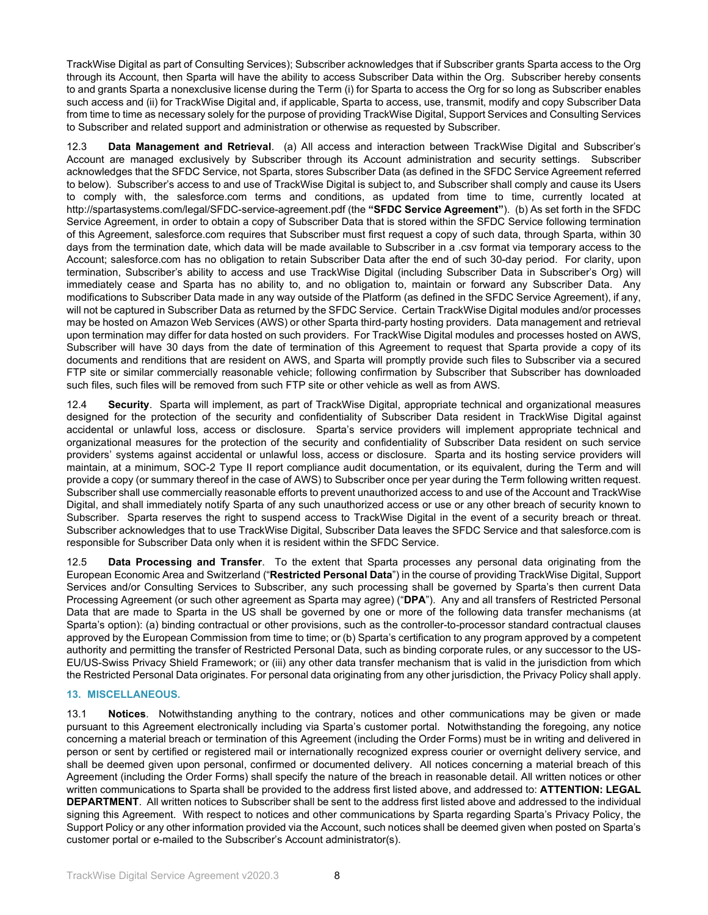TrackWise Digital as part of Consulting Services); Subscriber acknowledges that if Subscriber grants Sparta access to the Org through its Account, then Sparta will have the ability to access Subscriber Data within the Org. Subscriber hereby consents to and grants Sparta a nonexclusive license during the Term (i) for Sparta to access the Org for so long as Subscriber enables such access and (ii) for TrackWise Digital and, if applicable, Sparta to access, use, transmit, modify and copy Subscriber Data from time to time as necessary solely for the purpose of providing TrackWise Digital, Support Services and Consulting Services to Subscriber and related support and administration or otherwise as requested by Subscriber.

12.3 **Data Management and Retrieval**. (a) All access and interaction between TrackWise Digital and Subscriber's Account are managed exclusively by Subscriber through its Account administration and security settings. Subscriber acknowledges that the SFDC Service, not Sparta, stores Subscriber Data (as defined in the SFDC Service Agreement referred to below). Subscriber's access to and use of TrackWise Digital is subject to, and Subscriber shall comply and cause its Users to comply with, the salesforce.com terms and conditions, as updated from time to time, currently located at http://spartasystems.com/legal/SFDC-service-agreement.pdf (the **"SFDC Service Agreement"**). (b) As set forth in the SFDC Service Agreement, in order to obtain a copy of Subscriber Data that is stored within the SFDC Service following termination of this Agreement, salesforce.com requires that Subscriber must first request a copy of such data, through Sparta, within 30 days from the termination date, which data will be made available to Subscriber in a .csv format via temporary access to the Account; salesforce.com has no obligation to retain Subscriber Data after the end of such 30-day period. For clarity, upon termination, Subscriber's ability to access and use TrackWise Digital (including Subscriber Data in Subscriber's Org) will immediately cease and Sparta has no ability to, and no obligation to, maintain or forward any Subscriber Data. Any modifications to Subscriber Data made in any way outside of the Platform (as defined in the SFDC Service Agreement), if any, will not be captured in Subscriber Data as returned by the SFDC Service. Certain TrackWise Digital modules and/or processes may be hosted on Amazon Web Services (AWS) or other Sparta third-party hosting providers. Data management and retrieval upon termination may differ for data hosted on such providers. For TrackWise Digital modules and processes hosted on AWS, Subscriber will have 30 days from the date of termination of this Agreement to request that Sparta provide a copy of its documents and renditions that are resident on AWS, and Sparta will promptly provide such files to Subscriber via a secured FTP site or similar commercially reasonable vehicle; following confirmation by Subscriber that Subscriber has downloaded such files, such files will be removed from such FTP site or other vehicle as well as from AWS.

12.4 **Security**. Sparta will implement, as part of TrackWise Digital, appropriate technical and organizational measures designed for the protection of the security and confidentiality of Subscriber Data resident in TrackWise Digital against accidental or unlawful loss, access or disclosure. Sparta's service providers will implement appropriate technical and organizational measures for the protection of the security and confidentiality of Subscriber Data resident on such service providers' systems against accidental or unlawful loss, access or disclosure. Sparta and its hosting service providers will maintain, at a minimum, SOC-2 Type II report compliance audit documentation, or its equivalent, during the Term and will provide a copy (or summary thereof in the case of AWS) to Subscriber once per year during the Term following written request. Subscriber shall use commercially reasonable efforts to prevent unauthorized access to and use of the Account and TrackWise Digital, and shall immediately notify Sparta of any such unauthorized access or use or any other breach of security known to Subscriber. Sparta reserves the right to suspend access to TrackWise Digital in the event of a security breach or threat. Subscriber acknowledges that to use TrackWise Digital, Subscriber Data leaves the SFDC Service and that salesforce.com is responsible for Subscriber Data only when it is resident within the SFDC Service.

12.5 **Data Processing and Transfer**. To the extent that Sparta processes any personal data originating from the European Economic Area and Switzerland ("**Restricted Personal Data**") in the course of providing TrackWise Digital, Support Services and/or Consulting Services to Subscriber, any such processing shall be governed by Sparta's then current Data Processing Agreement (or such other agreement as Sparta may agree) ("**DPA**"). Any and all transfers of Restricted Personal Data that are made to Sparta in the US shall be governed by one or more of the following data transfer mechanisms (at Sparta's option): (a) binding contractual or other provisions, such as the controller-to-processor standard contractual clauses approved by the European Commission from time to time; or (b) Sparta's certification to any program approved by a competent authority and permitting the transfer of Restricted Personal Data, such as binding corporate rules, or any successor to the US-EU/US-Swiss Privacy Shield Framework; or (iii) any other data transfer mechanism that is valid in the jurisdiction from which the Restricted Personal Data originates. For personal data originating from any other jurisdiction, the Privacy Policy shall apply.

## **13. MISCELLANEOUS.**

13.1 **Notices**. Notwithstanding anything to the contrary, notices and other communications may be given or made pursuant to this Agreement electronically including via Sparta's customer portal. Notwithstanding the foregoing, any notice concerning a material breach or termination of this Agreement (including the Order Forms) must be in writing and delivered in person or sent by certified or registered mail or internationally recognized express courier or overnight delivery service, and shall be deemed given upon personal, confirmed or documented delivery. All notices concerning a material breach of this Agreement (including the Order Forms) shall specify the nature of the breach in reasonable detail. All written notices or other written communications to Sparta shall be provided to the address first listed above, and addressed to: **ATTENTION: LEGAL DEPARTMENT**. All written notices to Subscriber shall be sent to the address first listed above and addressed to the individual signing this Agreement. With respect to notices and other communications by Sparta regarding Sparta's Privacy Policy, the Support Policy or any other information provided via the Account, such notices shall be deemed given when posted on Sparta's customer portal or e-mailed to the Subscriber's Account administrator(s).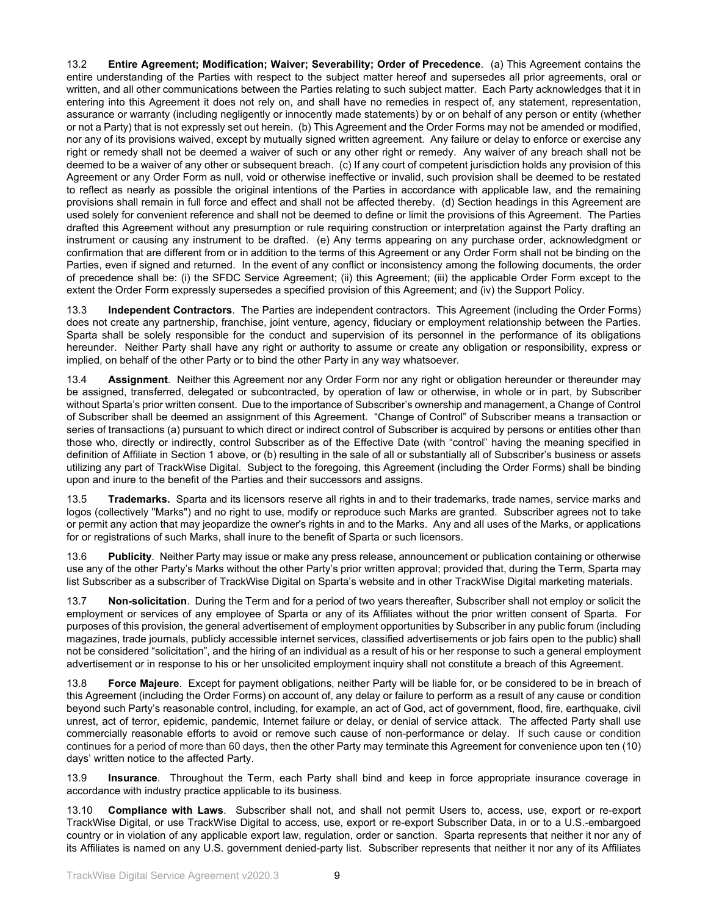13.2 **Entire Agreement; Modification; Waiver; Severability; Order of Precedence**. (a) This Agreement contains the entire understanding of the Parties with respect to the subject matter hereof and supersedes all prior agreements, oral or written, and all other communications between the Parties relating to such subject matter. Each Party acknowledges that it in entering into this Agreement it does not rely on, and shall have no remedies in respect of, any statement, representation, assurance or warranty (including negligently or innocently made statements) by or on behalf of any person or entity (whether or not a Party) that is not expressly set out herein. (b) This Agreement and the Order Forms may not be amended or modified, nor any of its provisions waived, except by mutually signed written agreement. Any failure or delay to enforce or exercise any right or remedy shall not be deemed a waiver of such or any other right or remedy. Any waiver of any breach shall not be deemed to be a waiver of any other or subsequent breach. (c) If any court of competent jurisdiction holds any provision of this Agreement or any Order Form as null, void or otherwise ineffective or invalid, such provision shall be deemed to be restated to reflect as nearly as possible the original intentions of the Parties in accordance with applicable law, and the remaining provisions shall remain in full force and effect and shall not be affected thereby. (d) Section headings in this Agreement are used solely for convenient reference and shall not be deemed to define or limit the provisions of this Agreement. The Parties drafted this Agreement without any presumption or rule requiring construction or interpretation against the Party drafting an instrument or causing any instrument to be drafted. (e) Any terms appearing on any purchase order, acknowledgment or confirmation that are different from or in addition to the terms of this Agreement or any Order Form shall not be binding on the Parties, even if signed and returned. In the event of any conflict or inconsistency among the following documents, the order of precedence shall be: (i) the SFDC Service Agreement; (ii) this Agreement; (iii) the applicable Order Form except to the extent the Order Form expressly supersedes a specified provision of this Agreement; and (iv) the Support Policy.

13.3 **Independent Contractors**. The Parties are independent contractors. This Agreement (including the Order Forms) does not create any partnership, franchise, joint venture, agency, fiduciary or employment relationship between the Parties. Sparta shall be solely responsible for the conduct and supervision of its personnel in the performance of its obligations hereunder. Neither Party shall have any right or authority to assume or create any obligation or responsibility, express or implied, on behalf of the other Party or to bind the other Party in any way whatsoever.

13.4 **Assignment**. Neither this Agreement nor any Order Form nor any right or obligation hereunder or thereunder may be assigned, transferred, delegated or subcontracted, by operation of law or otherwise, in whole or in part, by Subscriber without Sparta's prior written consent. Due to the importance of Subscriber's ownership and management, a Change of Control of Subscriber shall be deemed an assignment of this Agreement. "Change of Control" of Subscriber means a transaction or series of transactions (a) pursuant to which direct or indirect control of Subscriber is acquired by persons or entities other than those who, directly or indirectly, control Subscriber as of the Effective Date (with "control" having the meaning specified in definition of Affiliate in Section 1 above, or (b) resulting in the sale of all or substantially all of Subscriber's business or assets utilizing any part of TrackWise Digital. Subject to the foregoing, this Agreement (including the Order Forms) shall be binding upon and inure to the benefit of the Parties and their successors and assigns.

**Trademarks.** Sparta and its licensors reserve all rights in and to their trademarks, trade names, service marks and logos (collectively "Marks") and no right to use, modify or reproduce such Marks are granted. Subscriber agrees not to take or permit any action that may jeopardize the owner's rights in and to the Marks. Any and all uses of the Marks, or applications for or registrations of such Marks, shall inure to the benefit of Sparta or such licensors.

13.6 **Publicity**. Neither Party may issue or make any press release, announcement or publication containing or otherwise use any of the other Party's Marks without the other Party's prior written approval; provided that, during the Term, Sparta may list Subscriber as a subscriber of TrackWise Digital on Sparta's website and in other TrackWise Digital marketing materials.

Non-solicitation. During the Term and for a period of two years thereafter, Subscriber shall not employ or solicit the employment or services of any employee of Sparta or any of its Affiliates without the prior written consent of Sparta. For purposes of this provision, the general advertisement of employment opportunities by Subscriber in any public forum (including magazines, trade journals, publicly accessible internet services, classified advertisements or job fairs open to the public) shall not be considered "solicitation", and the hiring of an individual as a result of his or her response to such a general employment advertisement or in response to his or her unsolicited employment inquiry shall not constitute a breach of this Agreement.

13.8 **Force Majeure**. Except for payment obligations, neither Party will be liable for, or be considered to be in breach of this Agreement (including the Order Forms) on account of, any delay or failure to perform as a result of any cause or condition beyond such Party's reasonable control, including, for example, an act of God, act of government, flood, fire, earthquake, civil unrest, act of terror, epidemic, pandemic, Internet failure or delay, or denial of service attack. The affected Party shall use commercially reasonable efforts to avoid or remove such cause of non-performance or delay. If such cause or condition continues for a period of more than 60 days, then the other Party may terminate this Agreement for convenience upon ten (10) days' written notice to the affected Party.

13.9 **Insurance**. Throughout the Term, each Party shall bind and keep in force appropriate insurance coverage in accordance with industry practice applicable to its business.

13.10 **Compliance with Laws**. Subscriber shall not, and shall not permit Users to, access, use, export or re-export TrackWise Digital, or use TrackWise Digital to access, use, export or re-export Subscriber Data, in or to a U.S.-embargoed country or in violation of any applicable export law, regulation, order or sanction. Sparta represents that neither it nor any of its Affiliates is named on any U.S. government denied-party list. Subscriber represents that neither it nor any of its Affiliates